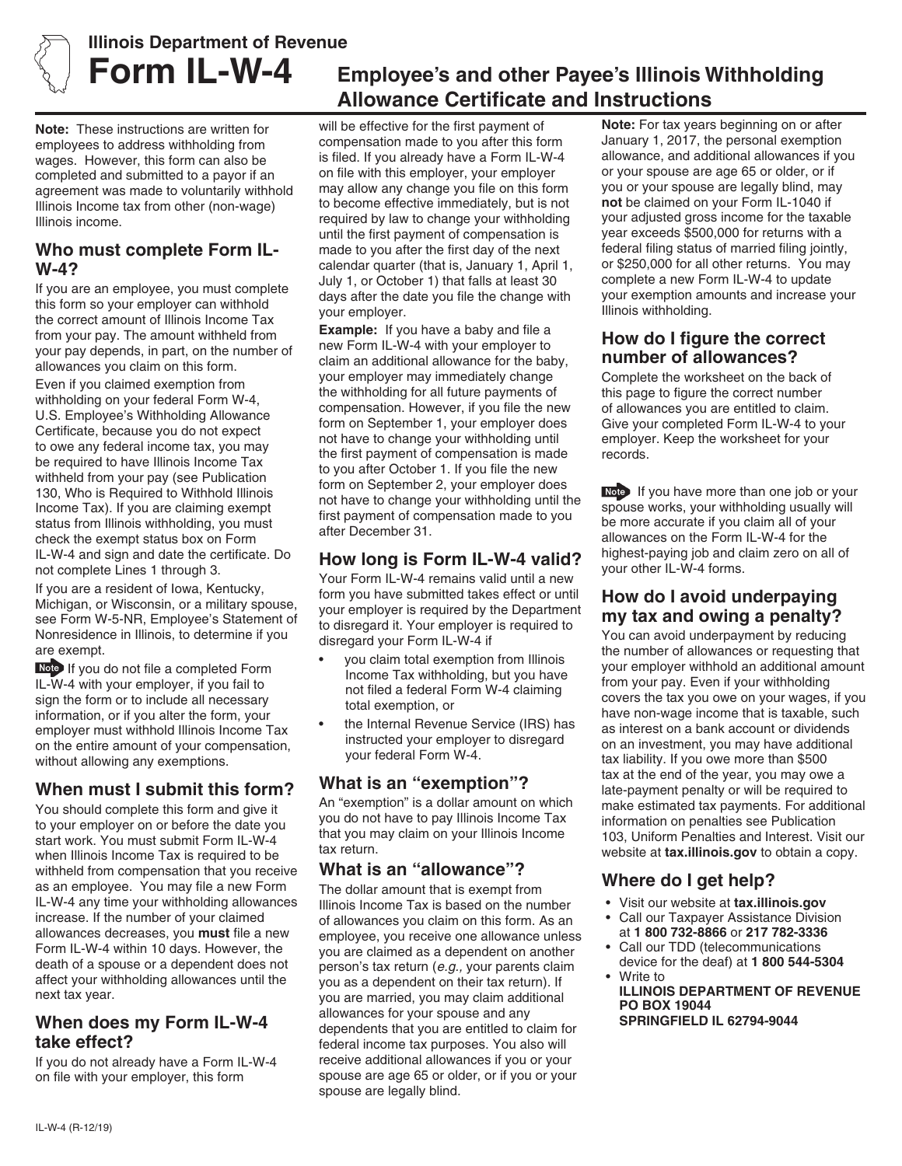

# **Illinois Department of Revenue**

**Note:** These instructions are written for employees to address withholding from wages. However, this form can also be completed and submitted to a payor if an agreement was made to voluntarily withhold Illinois Income tax from other (non-wage) Illinois income.

#### **Who must complete Form IL-W-4?**

If you are an employee, you must complete this form so your employer can withhold the correct amount of Illinois Income Tax from your pay. The amount withheld from your pay depends, in part, on the number of allowances you claim on this form.

Even if you claimed exemption from withholding on your federal Form W-4, U.S. Employee's Withholding Allowance Certificate, because you do not expect to owe any federal income tax, you may be required to have Illinois Income Tax withheld from your pay (see Publication 130, Who is Required to Withhold Illinois Income Tax). If you are claiming exempt status from Illinois withholding, you must check the exempt status box on Form IL-W-4 and sign and date the certificate. Do not complete Lines 1 through 3.

If you are a resident of Iowa, Kentucky, Michigan, or Wisconsin, or a military spouse, see Form W-5-NR, Employee's Statement of Nonresidence in Illinois, to determine if you are exempt.

Note If you do not file a completed Form IL-W-4 with your employer, if you fail to sign the form or to include all necessary information, or if you alter the form, your employer must withhold Illinois Income Tax on the entire amount of your compensation, without allowing any exemptions.

#### **When must I submit this form?**

You should complete this form and give it to your employer on or before the date you start work. You must submit Form IL-W-4 when Illinois Income Tax is required to be withheld from compensation that you receive as an employee. You may file a new Form IL-W-4 any time your withholding allowances increase. If the number of your claimed allowances decreases, you **must** file a new Form IL-W-4 within 10 days. However, the death of a spouse or a dependent does not affect your withholding allowances until the next tax year.

#### **When does my Form IL-W-4 take effect?**

If you do not already have a Form IL-W-4 on file with your employer, this form

# **Form IL-W-4 Employee's and other Payee's Illinois Withholding Allowance Certificate and Instructions**

will be effective for the first payment of compensation made to you after this form is filed. If you already have a Form IL-W-4 on file with this employer, your employer may allow any change you file on this form to become effective immediately, but is not required by law to change your withholding until the first payment of compensation is made to you after the first day of the next calendar quarter (that is, January 1, April 1, July 1, or October 1) that falls at least 30 days after the date you file the change with your employer.

**Example:** If you have a baby and file a new Form IL-W-4 with your employer to claim an additional allowance for the baby, your employer may immediately change the withholding for all future payments of compensation. However, if you file the new form on September 1, your employer does not have to change your withholding until the first payment of compensation is made to you after October 1. If you file the new form on September 2, your employer does not have to change your withholding until the first payment of compensation made to you after December 31.

#### **How long is Form IL-W-4 valid?**

Your Form IL-W-4 remains valid until a new form you have submitted takes effect or until your employer is required by the Department to disregard it. Your employer is required to disregard your Form IL-W-4 if

- you claim total exemption from Illinois Income Tax withholding, but you have not filed a federal Form W-4 claiming total exemption, or
- the Internal Revenue Service (IRS) has instructed your employer to disregard your federal Form W-4.

#### **What is an "exemption"?**

An "exemption" is a dollar amount on which you do not have to pay Illinois Income Tax that you may claim on your Illinois Income tax return.

#### **What is an "allowance"?**

The dollar amount that is exempt from Illinois Income Tax is based on the number of allowances you claim on this form. As an employee, you receive one allowance unless you are claimed as a dependent on another person's tax return (*e.g.,* your parents claim you as a dependent on their tax return). If you are married, you may claim additional allowances for your spouse and any dependents that you are entitled to claim for federal income tax purposes. You also will receive additional allowances if you or your spouse are age 65 or older, or if you or your spouse are legally blind.

**Note:** For tax years beginning on or after January 1, 2017, the personal exemption allowance, and additional allowances if you or your spouse are age 65 or older, or if you or your spouse are legally blind, may **not** be claimed on your Form IL-1040 if your adjusted gross income for the taxable year exceeds \$500,000 for returns with a federal filing status of married filing jointly, or \$250,000 for all other returns. You may complete a new Form IL-W-4 to update your exemption amounts and increase your Illinois withholding.

#### **How do I figure the correct number of allowances?**

Complete the worksheet on the back of this page to figure the correct number of allowances you are entitled to claim. Give your completed Form IL-W-4 to your employer. Keep the worksheet for your records.

If you have more than one job or your spouse works, your withholding usually will be more accurate if you claim all of your allowances on the Form IL-W-4 for the highest-paying job and claim zero on all of your other IL-W-4 forms.

#### **How do I avoid underpaying my tax and owing a penalty?**

You can avoid underpayment by reducing the number of allowances or requesting that your employer withhold an additional amount from your pay. Even if your withholding covers the tax you owe on your wages, if you have non-wage income that is taxable, such as interest on a bank account or dividends on an investment, you may have additional tax liability. If you owe more than \$500 tax at the end of the year, you may owe a late-payment penalty or will be required to make estimated tax payments. For additional information on penalties see Publication 103, Uniform Penalties and Interest. Visit our website at **tax.illinois.gov** to obtain a copy.

## **Where do I get help?**

- Visit our website at **tax.illinois.gov**
- Call our Taxpayer Assistance Division at **1 800 732-8866** or **217 782-3336**
- Call our TDD (telecommunications device for the deaf) at **1 800 544-5304** • Write to
- **ILLINOIS DEPARTMENT OF REVENUE PO BOX 19044 SPRINGFIELD IL 62794-9044**